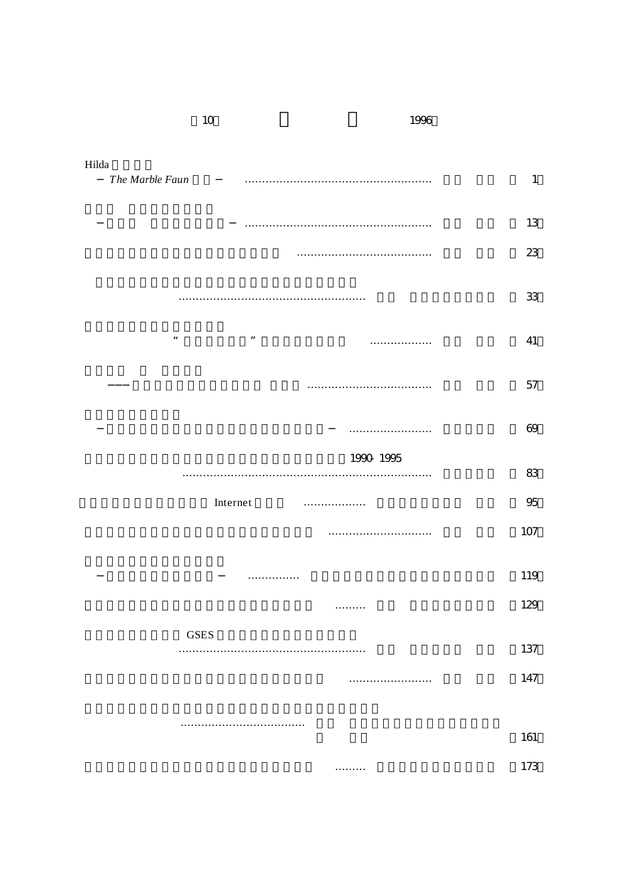| Hilda              |                      |           |              |
|--------------------|----------------------|-----------|--------------|
| The Marble Faun    |                      |           | $\mathbf{1}$ |
|                    |                      |           | 13           |
|                    |                      |           | 23           |
|                    |                      |           | 33           |
| $\boldsymbol{\mu}$ | $\pmb{\mathfrak{y}}$ | .         | 41           |
|                    |                      |           | 57           |
|                    |                      |           | 69           |
|                    |                      | 1990 1995 |              |
|                    |                      |           | 83           |
|                    | Internet<br>.        |           | 95           |
|                    |                      |           | 107          |
|                    | .                    |           | 119          |
|                    | .                    |           | 129          |
| <b>GSES</b>        |                      |           |              |
|                    |                      |           | 137          |
|                    |                      |           | 147          |
|                    |                      |           |              |
|                    |                      |           | 161          |
|                    | .                    |           | 173          |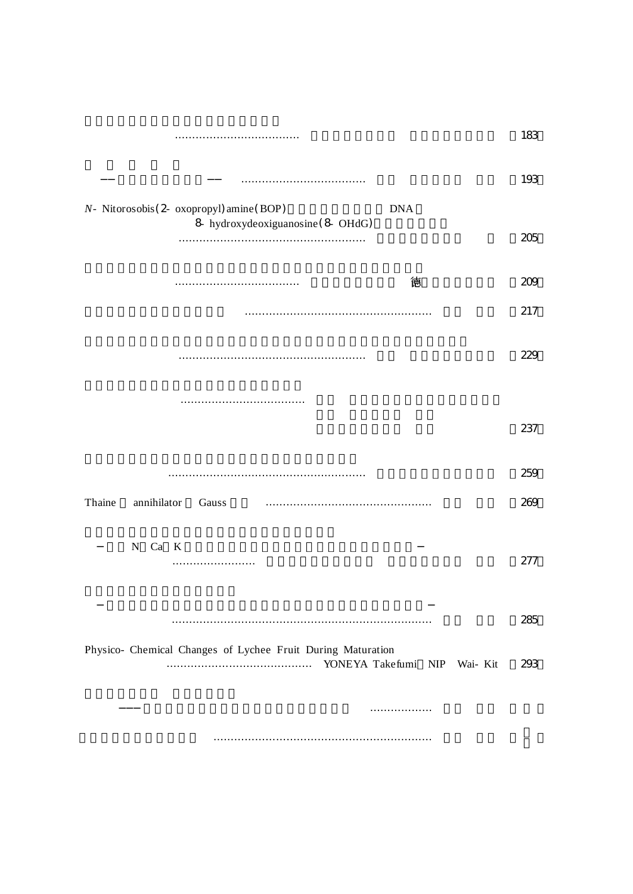|                                                             | 183 |
|-------------------------------------------------------------|-----|
|                                                             | 193 |
| N- Nitorosobis (2- oxopropyl) amine (BOP)<br><b>DNA</b>     |     |
| 8 hydroxydeoxiguanosine (8 OHdG)                            | 205 |
|                                                             |     |
| 德                                                           | 209 |
|                                                             | 217 |
|                                                             |     |
|                                                             | 229 |
|                                                             |     |
|                                                             |     |
|                                                             | 237 |
|                                                             |     |
|                                                             | 259 |
|                                                             |     |
| annihilator<br>Thaine<br>Gauss                              | 269 |
|                                                             |     |
| N Ca K                                                      | 277 |
|                                                             |     |
|                                                             |     |
|                                                             | 285 |
|                                                             |     |
| Physico- Chemical Changes of Lychee Fruit During Maturation | 293 |
|                                                             |     |
| .                                                           |     |
|                                                             |     |
|                                                             |     |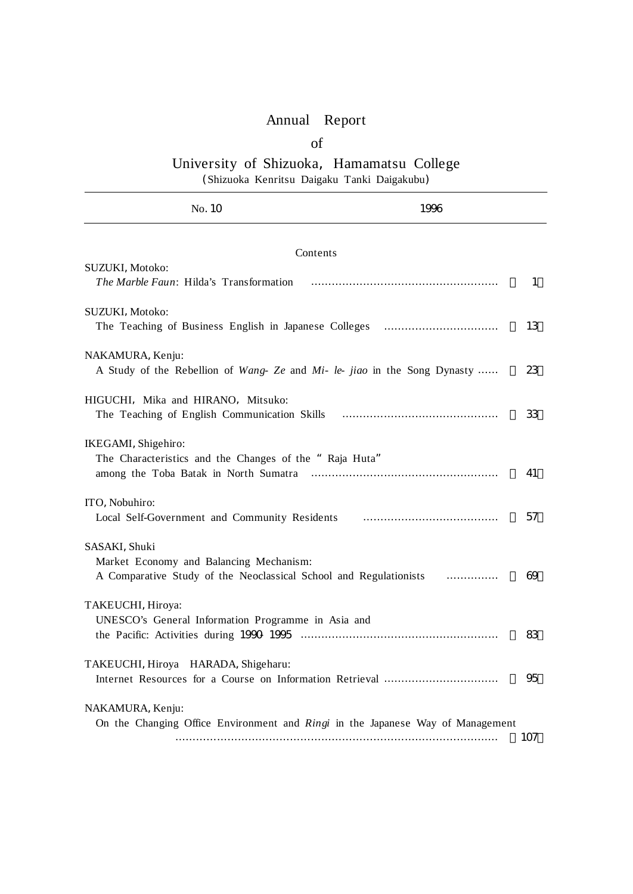## Annual Report

## of

## University of Shizuoka, Hamamatsu College (Shizuoka Kenritsu Daigaku Tanki Daigakubu)

No.10 1996 Contents SUZUKI, Motoko: *The Marble Faun*: Hilda's Transformation ……………………………………………… ( 1) SUZUKI, Motoko: The Teaching of Business English in Japanese Colleges …………………………………… 13 NAKAMURA, Kenju: A Study of the Rebellion of *Wang- Ze* and *Mi- le- jiao* in the Song Dynasty …… ( 23) HIGUCHI, Mika and HIRANO, Mitsuko: The Teaching of English Communication Skills ……………………………………… ( 33) IKEGAMI, Shigehiro: The Characteristics and the Changes of the "Raja Huta" ITO, Nobuhiro:

| IKEGAMI, Shigehiro:<br>The Characteristics and the Changes of the "Raja Huta"                                                 | 41  |
|-------------------------------------------------------------------------------------------------------------------------------|-----|
| ITO, Nobuhiro:                                                                                                                | 57  |
| SASAKI, Shuki<br>Market Economy and Balancing Mechanism:<br>A Comparative Study of the Neoclassical School and Regulationists | 69  |
| TAKEUCHI, Hiroya:<br>UNESCO's General Information Programme in Asia and                                                       | 83  |
| TAKEUCHI, Hiroya HARADA, Shigeharu:                                                                                           | 95  |
| NAKAMURA, Kenju:<br>On the Changing Office Environment and <i>Ringi</i> in the Japanese Way of Management                     | 107 |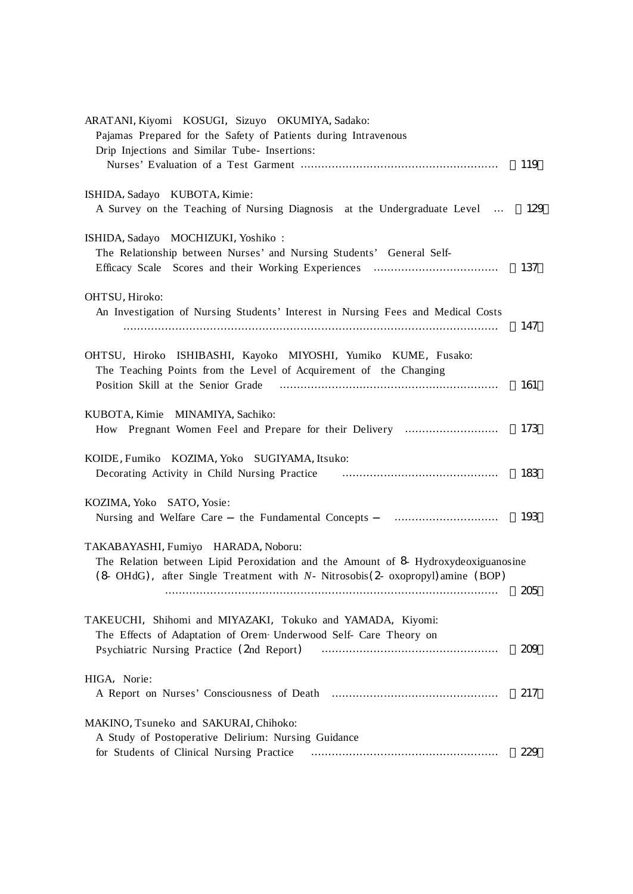| ARATANI, Kiyomi KOSUGI, Sizuyo OKUMIYA, Sadako:<br>Pajamas Prepared for the Safety of Patients during Intravenous<br>Drip Injections and Similar Tube- Insertions:                                                   | 119 |
|----------------------------------------------------------------------------------------------------------------------------------------------------------------------------------------------------------------------|-----|
|                                                                                                                                                                                                                      |     |
| ISHIDA, Sadayo KUBOTA, Kimie:<br>A Survey on the Teaching of Nursing Diagnosis at the Undergraduate Level                                                                                                            | 129 |
| ISHIDA, Sadayo MOCHIZUKI, Yoshiko:<br>The Relationship between Nurses' and Nursing Students' General Self-                                                                                                           | 137 |
| OHTSU, Hiroko:<br>An Investigation of Nursing Students' Interest in Nursing Fees and Medical Costs                                                                                                                   | 147 |
| OHTSU, Hiroko ISHIBASHI, Kayoko MIYOSHI, Yumiko KUME, Fusako:<br>The Teaching Points from the Level of Acquirement of the Changing<br>Position Skill at the Senior Grade                                             | 161 |
| KUBOTA, Kimie MINAMIYA, Sachiko:<br>How Pregnant Women Feel and Prepare for their Delivery                                                                                                                           | 173 |
| KOIDE, Fumiko KOZIMA, Yoko SUGIYAMA, Itsuko:                                                                                                                                                                         | 183 |
| KOZIMA, Yoko SATO, Yosie:<br>Nursing and Welfare Care the Fundamental Concepts                                                                                                                                       | 193 |
| TAKABAYASHI, Fumiyo HARADA, Noboru:<br>The Relation between Lipid Peroxidation and the Amount of 8 Hydroxydeoxiguanosine<br>$(8 \text{ OHdG})$ , after Single Treatment with N- Nitrosobis(2- oxopropyl) amine (BOP) |     |
|                                                                                                                                                                                                                      | 205 |
| TAKEUCHI, Shihomi and MIYAZAKI, Tokuko and YAMADA, Kiyomi:<br>The Effects of Adaptation of Orem- Underwood Self- Care Theory on                                                                                      | 209 |
| HIGA, Norie:                                                                                                                                                                                                         | 217 |
| MAKINO, Tsuneko and SAKURAI, Chihoko:<br>A Study of Postoperative Delirium: Nursing Guidance<br>for Students of Clinical Nursing Practice                                                                            | 229 |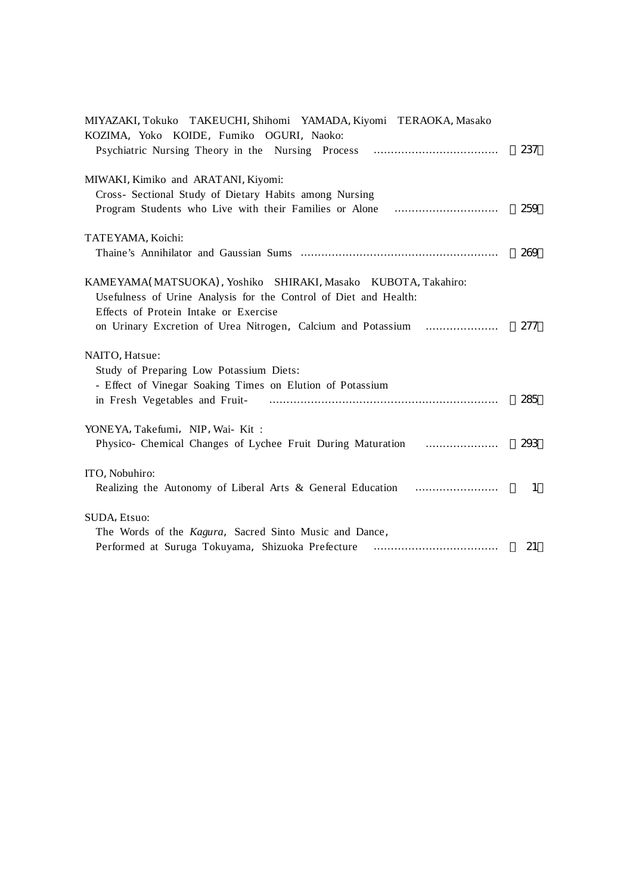| MIYAZAKI, Tokuko TAKEUCHI, Shihomi YAMADA, Kiyomi TERAOKA, Masako                                                                                                          |              |
|----------------------------------------------------------------------------------------------------------------------------------------------------------------------------|--------------|
| KOZIMA, Yoko KOIDE, Fumiko OGURI, Naoko:                                                                                                                                   | 237          |
| MIWAKI, Kimiko and ARATANI, Kiyomi:<br>Cross- Sectional Study of Dietary Habits among Nursing                                                                              |              |
|                                                                                                                                                                            | 259          |
| TATEYAMA, Koichi:                                                                                                                                                          |              |
|                                                                                                                                                                            | 269          |
| KAMEYAMA(MATSUOKA), Yoshiko SHIRAKI, Masako KUBOTA, Takahiro:<br>Usefulness of Urine Analysis for the Control of Diet and Health:<br>Effects of Protein Intake or Exercise |              |
| on Urinary Excretion of Urea Nitrogen, Calcium and Potassium                                                                                                               | 277          |
| NAITO, Hatsue:                                                                                                                                                             |              |
| Study of Preparing Low Potassium Diets:                                                                                                                                    |              |
| - Effect of Vinegar Soaking Times on Elution of Potassium                                                                                                                  | 285          |
| YONEYA, Takefumi, NIP, Wai-Kit:                                                                                                                                            |              |
| Physico- Chemical Changes of Lychee Fruit During Maturation                                                                                                                | 293          |
| ITO, Nobuhiro:                                                                                                                                                             | $\mathbf{1}$ |
|                                                                                                                                                                            |              |
| SUDA. Etsuo:<br>The Words of the Kagura, Sacred Sinto Music and Dance,                                                                                                     |              |
|                                                                                                                                                                            | 21           |